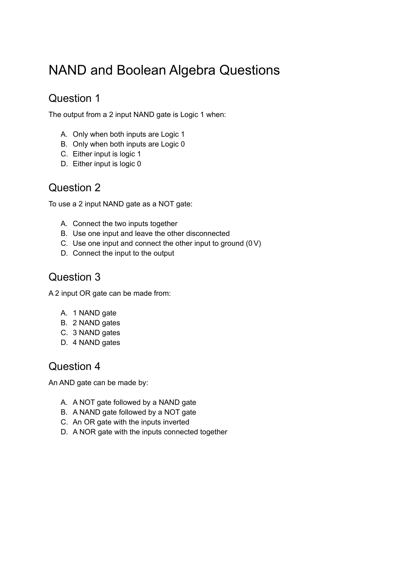# NAND and Boolean Algebra Questions

## Question 1

The output from a 2 input NAND gate is Logic 1 when:

- A. Only when both inputs are Logic 1
- B. Only when both inputs are Logic 0
- C. Either input is logic 1
- D. Either input is logic 0

#### Question 2

To use a 2 input NAND gate as a NOT gate:

- A. Connect the two inputs together
- B. Use one input and leave the other disconnected
- C. Use one input and connect the other input to ground (0V)
- D. Connect the input to the output

#### Question 3

A 2 input OR gate can be made from:

- A. 1 NAND gate
- B. 2 NAND gates
- C. 3 NAND gates
- D. 4 NAND gates

#### Question 4

An AND gate can be made by:

- A. A NOT gate followed by a NAND gate
- B. A NAND gate followed by a NOT gate
- C. An OR gate with the inputs inverted
- D. A NOR gate with the inputs connected together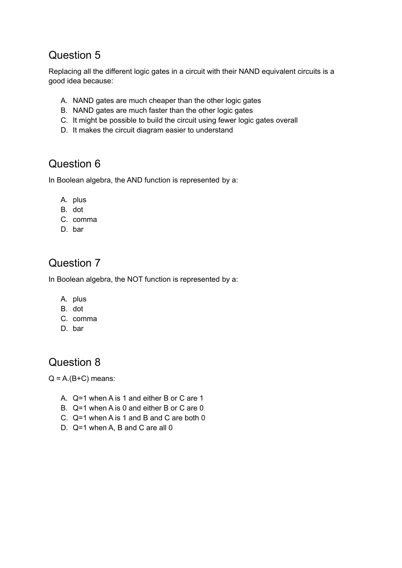### Question 5

Replacing all the different logic gates in a circuit with their NAND equivalent circuits is a good idea because:

- A. NAND gates are much cheaper than the other logic gates
- B. NAND gates are much faster than the other logic gates
- C. It might be possible to build the circuit using fewer logic gates overall
- D. It makes the circuit diagram easier to understand

## Question 6

In Boolean algebra, the AND function is represented by a:

- A. plus
- B. dot
- C. comma
- D. bar

## Question 7

In Boolean algebra, the NOT function is represented by a:

- A. plus
- B. dot
- C. comma
- D. bar

#### Question 8

 $Q = A.(B+C)$  means:

- A. Q=1 when A is 1 and either B or C are 1
- B. Q=1 when A is 0 and either B or C are 0
- C. Q=1 when A is 1 and B and C are both 0
- D. Q=1 when A, B and C are all 0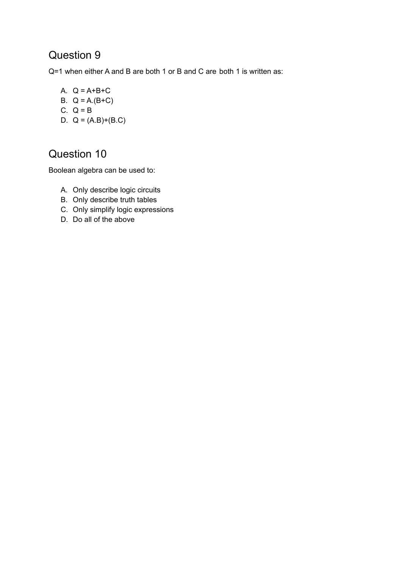#### Question 9

Q=1 when either A and B are both 1 or B and C are both 1 is written as:

A.  $Q = A + B + C$ B.  $Q = A.(B+C)$ C.  $Q = B$ 

D.  $Q = (A.B)+(B.C)$ 

## Question 10

Boolean algebra can be used to:

- A. Only describe logic circuits
- B. Only describe truth tables
- C. Only simplify logic expressions
- D. Do all of the above